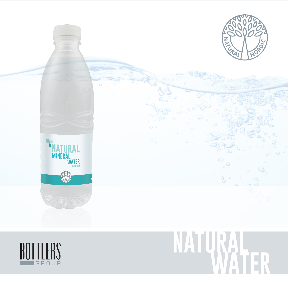



# **Natural WATER**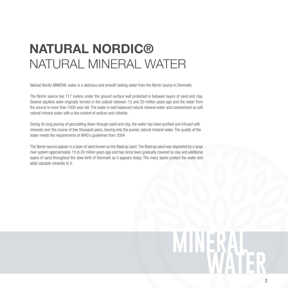### **Natural Nordic®**  NATURAL MINERAL water

Natural Nordic MINERAL water is a delicious and smooth tasting water from the Nornir source in Denmark.

The Nornir source lies 117 meters under the ground surface well protected in between layers of sand and clay. Several aquifers were originally formed in the subsoil between 15 and 20 million years ago and the water from the source is more than 1000 year old. The water is well balanced natural mineral water and caracterised as soft natural mineral water with a low content of sodium and chloride.

During its long journey of percolating down through sand and clay, the water has been purified and infused with minerals over the course of two thousand years, leaving only the purest, natural mineral water. The quality of the water meets the requirements of WHO's guidelines from 2004.

The Nornir source appear in a layer of sand known as the Bastrup sand. The Bastrup sand was deposited by a large river system approximately 15 to 20 million years ago and has since been gradually covered by clay and additional layers of sand throughout the slow birth of Denmark as it appears today. The many layers protect the water and adds valuable minerals to it.

### **mineral water mineral water**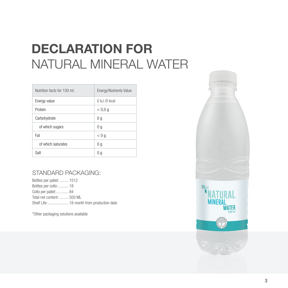## **DECLARATION for** NATURAL Mineral water

| Nutrition facts for 100 mL | Energy/Nutrients Value |
|----------------------------|------------------------|
| Energy value               | $0$ kJ $/0$ kcal       |
| Protein                    | < 0.0 q                |
| Carbohydrate               | 0q                     |
| of which sugars            | 0q                     |
| Fat                        | < 0 g                  |
| of which saturates         | 0q                     |
| Salt                       | 0 g                    |

#### Standard packaging:

Bottles per pallet: ........ 1512 Bottles per collo:.......... 18 Collo per pallet:............ 84 Total net content: ......... 500 ML Shelf Life:.................... 18 month from production date

\*Other packaging solutions available